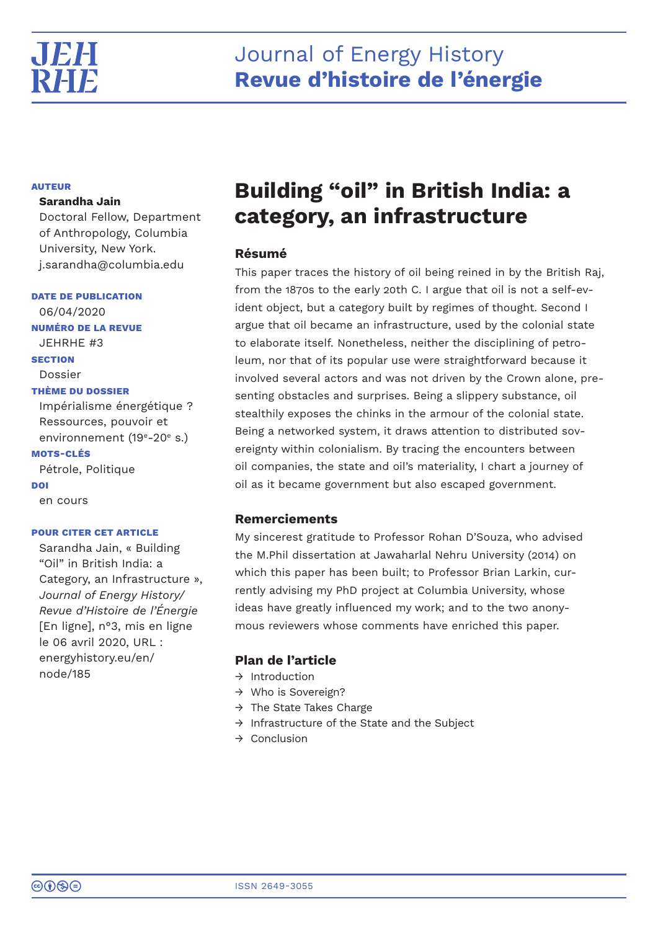

# **AUTEUR**

# **Sarandha Jain**

Doctoral Fellow, Department of Anthropology, Columbia University, New York. j.sarandha@columbia.edu

**DATE DE PUBLICATION**

06/04/2020 **NUMÉRO DE LA REVUE** JEHRHE #3 **SECTION**

Dossier

# **THÈME DU DOSSIER**

Impérialisme énergétique ? Ressources, pouvoir et environnement (19<sup>e</sup>-20<sup>e</sup> s.)

# **MOTS-CLÉS**

Pétrole, Politique **DOI** en cours

# **POUR CITER CET ARTICLE**

Sarandha Jain, « Building "Oil" in British India: a Category, an Infrastructure », *Journal of Energy History/ Revue d'Histoire de l'Énergie* [En ligne], n°3, mis en ligne le 06 avril 2020, URL : energyhistory.eu/en/ node/185

# **Building "oil" in British India: a category, an infrastructure**

# **Résumé**

This paper traces the history of oil being reined in by the British Raj, from the 1870s to the early 20th C. I argue that oil is not a self-evident object, but a category built by regimes of thought. Second I argue that oil became an infrastructure, used by the colonial state to elaborate itself. Nonetheless, neither the disciplining of petroleum, nor that of its popular use were straightforward because it involved several actors and was not driven by the Crown alone, presenting obstacles and surprises. Being a slippery substance, oil stealthily exposes the chinks in the armour of the colonial state. Being a networked system, it draws attention to distributed sovereignty within colonialism. By tracing the encounters between oil companies, the state and oil's materiality, I chart a journey of oil as it became government but also escaped government.

# **Remerciements**

My sincerest gratitude to Professor Rohan D'Souza, who advised the M.Phil dissertation at Jawaharlal Nehru University (2014) on which this paper has been built; to Professor Brian Larkin, currently advising my PhD project at Columbia University, whose ideas have greatly influenced my work; and to the two anonymous reviewers whose comments have enriched this paper.

# **Plan de l'article**

- $\rightarrow$  Introduction
- → Who is Sovereign?
- $\rightarrow$  The State Takes Charge
- → Infrastructure of the State and the Subject
- $\rightarrow$  Conclusion

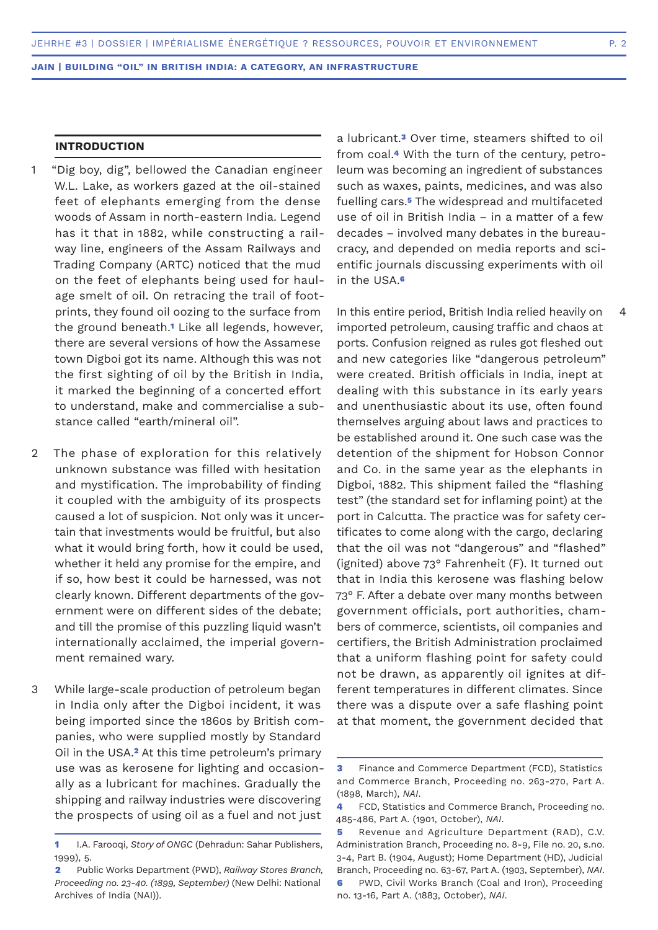# **INTRODUCTION**

- "Dig boy, dig", bellowed the Canadian engineer W.L. Lake, as workers gazed at the oil-stained feet of elephants emerging from the dense woods of Assam in north-eastern India. Legend has it that in 1882, while constructing a railway line, engineers of the Assam Railways and Trading Company (ARTC) noticed that the mud on the feet of elephants being used for haulage smelt of oil. On retracing the trail of footprints, they found oil oozing to the surface from the ground beneath.**1** Like all legends, however, there are several versions of how the Assamese town Digboi got its name. Although this was not the first sighting of oil by the British in India, it marked the beginning of a concerted effort to understand, make and commercialise a substance called "earth/mineral oil". 1
- The phase of exploration for this relatively unknown substance was filled with hesitation and mystification. The improbability of finding it coupled with the ambiguity of its prospects caused a lot of suspicion. Not only was it uncertain that investments would be fruitful, but also what it would bring forth, how it could be used, whether it held any promise for the empire, and if so, how best it could be harnessed, was not clearly known. Different departments of the government were on different sides of the debate; and till the promise of this puzzling liquid wasn't internationally acclaimed, the imperial government remained wary.  $\mathcal{D}$
- While large-scale production of petroleum began in India only after the Digboi incident, it was being imported since the 1860s by British companies, who were supplied mostly by Standard Oil in the USA.**2** At this time petroleum's primary use was as kerosene for lighting and occasionally as a lubricant for machines. Gradually the shipping and railway industries were discovering the prospects of using oil as a fuel and not just 3

a lubricant.**3** Over time, steamers shifted to oil from coal.**4** With the turn of the century, petroleum was becoming an ingredient of substances such as waxes, paints, medicines, and was also fuelling cars.**5** The widespread and multifaceted use of oil in British India – in a matter of a few decades – involved many debates in the bureaucracy, and depended on media reports and scientific journals discussing experiments with oil in the USA.**<sup>6</sup>**

In this entire period, British India relied heavily on imported petroleum, causing traffic and chaos at ports. Confusion reigned as rules got fleshed out and new categories like "dangerous petroleum" were created. British officials in India, inept at dealing with this substance in its early years and unenthusiastic about its use, often found themselves arguing about laws and practices to be established around it. One such case was the detention of the shipment for Hobson Connor and Co. in the same year as the elephants in Digboi, 1882. This shipment failed the "flashing test" (the standard set for inflaming point) at the port in Calcutta. The practice was for safety certificates to come along with the cargo, declaring that the oil was not "dangerous" and "flashed" (ignited) above 73° Fahrenheit (F). It turned out that in India this kerosene was flashing below 73° F. After a debate over many months between government officials, port authorities, chambers of commerce, scientists, oil companies and certifiers, the British Administration proclaimed that a uniform flashing point for safety could not be drawn, as apparently oil ignites at different temperatures in different climates. Since there was a dispute over a safe flashing point at that moment, the government decided that

 $\Delta$ 

**<sup>1</sup>** I.A. Farooqi, *Story of ONGC* (Dehradun: Sahar Publishers, 1999), 5.

**<sup>2</sup>** Public Works Department (PWD), *Railway Stores Branch, Proceeding no. 23-40. (1899, September)* (New Delhi: National Archives of India (NAI)).

**<sup>3</sup>** Finance and Commerce Department (FCD), Statistics and Commerce Branch, Proceeding no. 263-270, Part A. (1898, March), *NAI*.

**<sup>4</sup>** FCD, Statistics and Commerce Branch, Proceeding no. 485-486, Part A. (1901, October), *NAI*.

**<sup>5</sup>** Revenue and Agriculture Department (RAD), C.V. Administration Branch, Proceeding no. 8-9, File no. 20, s.no. 3-4, Part B. (1904, August); Home Department (HD), Judicial Branch, Proceeding no. 63-67, Part A. (1903, September), *NAI*.

**<sup>6</sup>** PWD, Civil Works Branch (Coal and Iron), Proceeding no. 13-16, Part A. (1883, October), *NAI*.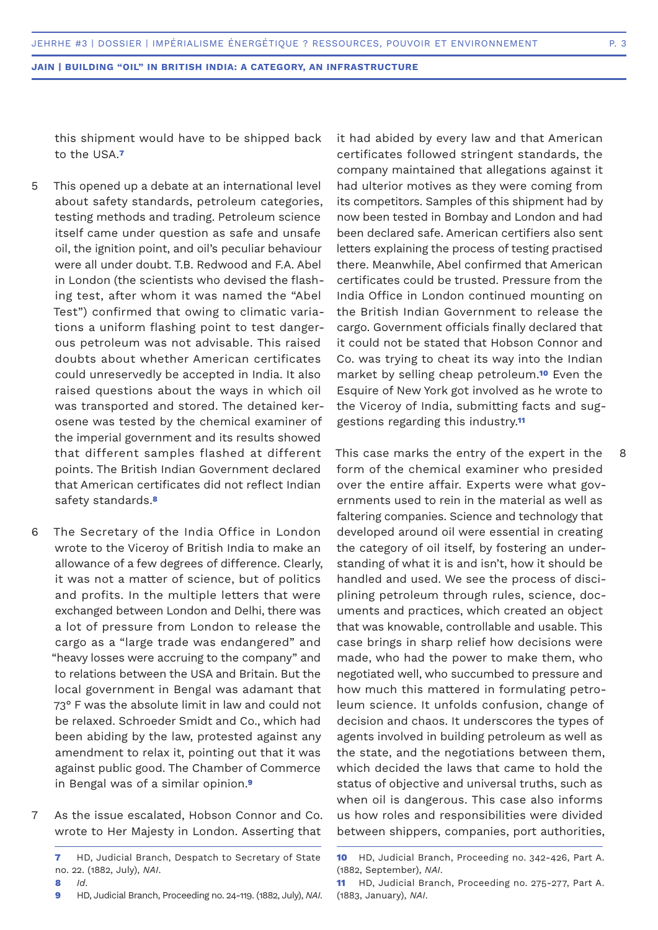this shipment would have to be shipped back to the USA.**<sup>7</sup>**

- This opened up a debate at an international level about safety standards, petroleum categories, testing methods and trading. Petroleum science itself came under question as safe and unsafe oil, the ignition point, and oil's peculiar behaviour were all under doubt. T.B. Redwood and F.A. Abel in London (the scientists who devised the flashing test, after whom it was named the "Abel Test") confirmed that owing to climatic variations a uniform flashing point to test dangerous petroleum was not advisable. This raised doubts about whether American certificates could unreservedly be accepted in India. It also raised questions about the ways in which oil was transported and stored. The detained kerosene was tested by the chemical examiner of the imperial government and its results showed that different samples flashed at different points. The British Indian Government declared that American certificates did not reflect Indian safety standards.**<sup>8</sup>** 5
- The Secretary of the India Office in London wrote to the Viceroy of British India to make an allowance of a few degrees of difference. Clearly, it was not a matter of science, but of politics and profits. In the multiple letters that were exchanged between London and Delhi, there was a lot of pressure from London to release the cargo as a "large trade was endangered" and "heavy losses were accruing to the company" and to relations between the USA and Britain. But the local government in Bengal was adamant that 73° F was the absolute limit in law and could not be relaxed. Schroeder Smidt and Co., which had been abiding by the law, protested against any amendment to relax it, pointing out that it was against public good. The Chamber of Commerce in Bengal was of a similar opinion.**<sup>9</sup>** 6
- As the issue escalated, Hobson Connor and Co. wrote to Her Majesty in London. Asserting that 7

it had abided by every law and that American certificates followed stringent standards, the company maintained that allegations against it had ulterior motives as they were coming from its competitors. Samples of this shipment had by now been tested in Bombay and London and had been declared safe. American certifiers also sent letters explaining the process of testing practised there. Meanwhile, Abel confirmed that American certificates could be trusted. Pressure from the India Office in London continued mounting on the British Indian Government to release the cargo. Government officials finally declared that it could not be stated that Hobson Connor and Co. was trying to cheat its way into the Indian market by selling cheap petroleum.**10** Even the Esquire of New York got involved as he wrote to the Viceroy of India, submitting facts and suggestions regarding this industry.**<sup>11</sup>**

This case marks the entry of the expert in the form of the chemical examiner who presided over the entire affair. Experts were what governments used to rein in the material as well as faltering companies. Science and technology that developed around oil were essential in creating the category of oil itself, by fostering an understanding of what it is and isn't, how it should be handled and used. We see the process of disciplining petroleum through rules, science, documents and practices, which created an object that was knowable, controllable and usable. This case brings in sharp relief how decisions were made, who had the power to make them, who negotiated well, who succumbed to pressure and how much this mattered in formulating petroleum science. It unfolds confusion, change of decision and chaos. It underscores the types of agents involved in building petroleum as well as the state, and the negotiations between them, which decided the laws that came to hold the status of objective and universal truths, such as when oil is dangerous. This case also informs us how roles and responsibilities were divided between shippers, companies, port authorities,

8

**<sup>7</sup>** HD, Judicial Branch, Despatch to Secretary of State no. 22. (1882, July), *NAI*.

**<sup>8</sup>** *Id*.

**<sup>9</sup>** HD, Judicial Branch, Proceeding no. 24-119. (1882, July), *NAI*.

**<sup>10</sup>** HD, Judicial Branch, Proceeding no. 342-426, Part A. (1882, September), *NAI*.

**<sup>11</sup>** HD, Judicial Branch, Proceeding no. 275-277, Part A. (1883, January), *NAI*.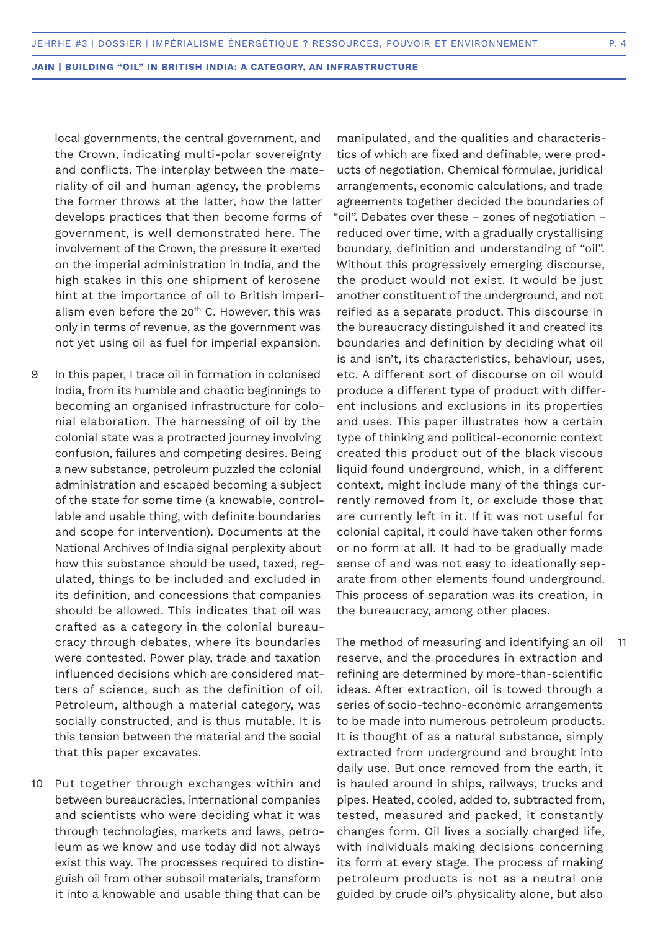local governments, the central government, and the Crown, indicating multi-polar sovereignty and conflicts. The interplay between the materiality of oil and human agency, the problems the former throws at the latter, how the latter develops practices that then become forms of government, is well demonstrated here. The involvement of the Crown, the pressure it exerted on the imperial administration in India, and the high stakes in this one shipment of kerosene hint at the importance of oil to British imperialism even before the  $20<sup>th</sup>$  C. However, this was only in terms of revenue, as the government was not yet using oil as fuel for imperial expansion.

- In this paper, I trace oil in formation in colonised India, from its humble and chaotic beginnings to becoming an organised infrastructure for colonial elaboration. The harnessing of oil by the colonial state was a protracted journey involving confusion, failures and competing desires. Being a new substance, petroleum puzzled the colonial administration and escaped becoming a subject of the state for some time (a knowable, controllable and usable thing, with definite boundaries and scope for intervention). Documents at the National Archives of India signal perplexity about how this substance should be used, taxed, regulated, things to be included and excluded in its definition, and concessions that companies should be allowed. This indicates that oil was crafted as a category in the colonial bureaucracy through debates, where its boundaries were contested. Power play, trade and taxation influenced decisions which are considered matters of science, such as the definition of oil. Petroleum, although a material category, was socially constructed, and is thus mutable. It is this tension between the material and the social that this paper excavates. 9
- Put together through exchanges within and between bureaucracies, international companies and scientists who were deciding what it was through technologies, markets and laws, petroleum as we know and use today did not always exist this way. The processes required to distinguish oil from other subsoil materials, transform it into a knowable and usable thing that can be 10

manipulated, and the qualities and characteristics of which are fixed and definable, were products of negotiation. Chemical formulae, juridical arrangements, economic calculations, and trade agreements together decided the boundaries of "oil". Debates over these – zones of negotiation – reduced over time, with a gradually crystallising boundary, definition and understanding of "oil". Without this progressively emerging discourse, the product would not exist. It would be just another constituent of the underground, and not reified as a separate product. This discourse in the bureaucracy distinguished it and created its boundaries and definition by deciding what oil is and isn't, its characteristics, behaviour, uses, etc. A different sort of discourse on oil would produce a different type of product with different inclusions and exclusions in its properties and uses. This paper illustrates how a certain type of thinking and political-economic context created this product out of the black viscous liquid found underground, which, in a different context, might include many of the things currently removed from it, or exclude those that are currently left in it. If it was not useful for colonial capital, it could have taken other forms or no form at all. It had to be gradually made sense of and was not easy to ideationally separate from other elements found underground. This process of separation was its creation, in the bureaucracy, among other places.

The method of measuring and identifying an oil reserve, and the procedures in extraction and refining are determined by more-than-scientific ideas. After extraction, oil is towed through a series of socio-techno-economic arrangements to be made into numerous petroleum products. It is thought of as a natural substance, simply extracted from underground and brought into daily use. But once removed from the earth, it is hauled around in ships, railways, trucks and pipes. Heated, cooled, added to, subtracted from, tested, measured and packed, it constantly changes form. Oil lives a socially charged life, with individuals making decisions concerning its form at every stage. The process of making petroleum products is not as a neutral one guided by crude oil's physicality alone, but also

11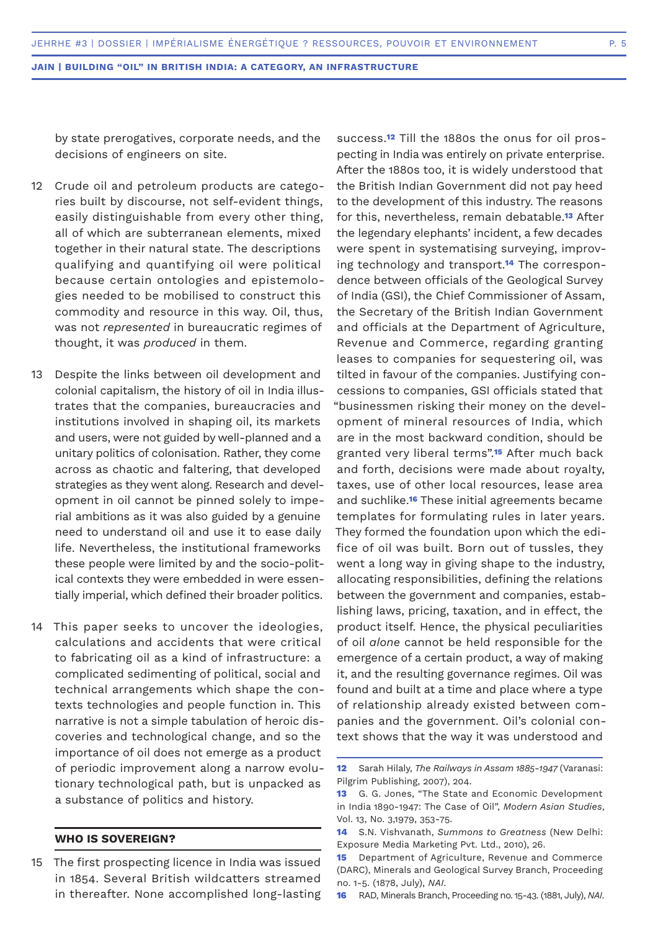by state prerogatives, corporate needs, and the decisions of engineers on site.

- Crude oil and petroleum products are catego-12 ries built by discourse, not self-evident things, easily distinguishable from every other thing, all of which are subterranean elements, mixed together in their natural state. The descriptions qualifying and quantifying oil were political because certain ontologies and epistemologies needed to be mobilised to construct this commodity and resource in this way. Oil, thus, was not *represented* in bureaucratic regimes of thought, it was *produced* in them.
- Despite the links between oil development and colonial capitalism, the history of oil in India illustrates that the companies, bureaucracies and institutions involved in shaping oil, its markets and users, were not guided by well-planned and a unitary politics of colonisation. Rather, they come across as chaotic and faltering, that developed strategies as they went along. Research and development in oil cannot be pinned solely to imperial ambitions as it was also guided by a genuine need to understand oil and use it to ease daily life. Nevertheless, the institutional frameworks these people were limited by and the socio-political contexts they were embedded in were essentially imperial, which defined their broader politics. 13
- This paper seeks to uncover the ideologies, 14 calculations and accidents that were critical to fabricating oil as a kind of infrastructure: a complicated sedimenting of political, social and technical arrangements which shape the contexts technologies and people function in. This narrative is not a simple tabulation of heroic discoveries and technological change, and so the importance of oil does not emerge as a product of periodic improvement along a narrow evolutionary technological path, but is unpacked as a substance of politics and history.

# **WHO IS SOVEREIGN?**

15 The first prospecting licence in India was issued in 1854. Several British wildcatters streamed in thereafter. None accomplished long-lasting

success.**12** Till the 1880s the onus for oil prospecting in India was entirely on private enterprise. After the 1880s too, it is widely understood that the British Indian Government did not pay heed to the development of this industry. The reasons for this, nevertheless, remain debatable.**13** After the legendary elephants' incident, a few decades were spent in systematising surveying, improving technology and transport.**14** The correspondence between officials of the Geological Survey of India (GSI), the Chief Commissioner of Assam, the Secretary of the British Indian Government and officials at the Department of Agriculture, Revenue and Commerce, regarding granting leases to companies for sequestering oil, was tilted in favour of the companies. Justifying concessions to companies, GSI officials stated that "businessmen risking their money on the development of mineral resources of India, which are in the most backward condition, should be granted very liberal terms".**15** After much back and forth, decisions were made about royalty, taxes, use of other local resources, lease area and suchlike.**16** These initial agreements became templates for formulating rules in later years. They formed the foundation upon which the edifice of oil was built. Born out of tussles, they went a long way in giving shape to the industry, allocating responsibilities, defining the relations between the government and companies, establishing laws, pricing, taxation, and in effect, the product itself. Hence, the physical peculiarities of oil *alone* cannot be held responsible for the emergence of a certain product, a way of making it, and the resulting governance regimes. Oil was found and built at a time and place where a type of relationship already existed between companies and the government. Oil's colonial context shows that the way it was understood and

**<sup>12</sup>** Sarah Hilaly, *The Railways in Assam 1885-1947* (Varanasi: Pilgrim Publishing, 2007), 204.

**<sup>13</sup>** G. G. Jones, "The State and Economic Development in India 1890-1947: The Case of Oil", *Modern Asian Studies*, Vol. 13, No. 3,1979, 353-75.

**<sup>14</sup>** S.N. Vishvanath, *Summons to Greatness* (New Delhi: Exposure Media Marketing Pvt. Ltd., 2010), 26.

**<sup>15</sup>** Department of Agriculture, Revenue and Commerce (DARC), Minerals and Geological Survey Branch, Proceeding no. 1-5. (1878, July), *NAI*.

**<sup>16</sup>** RAD, Minerals Branch, Proceeding no. 15-43. (1881, July), *NAI*.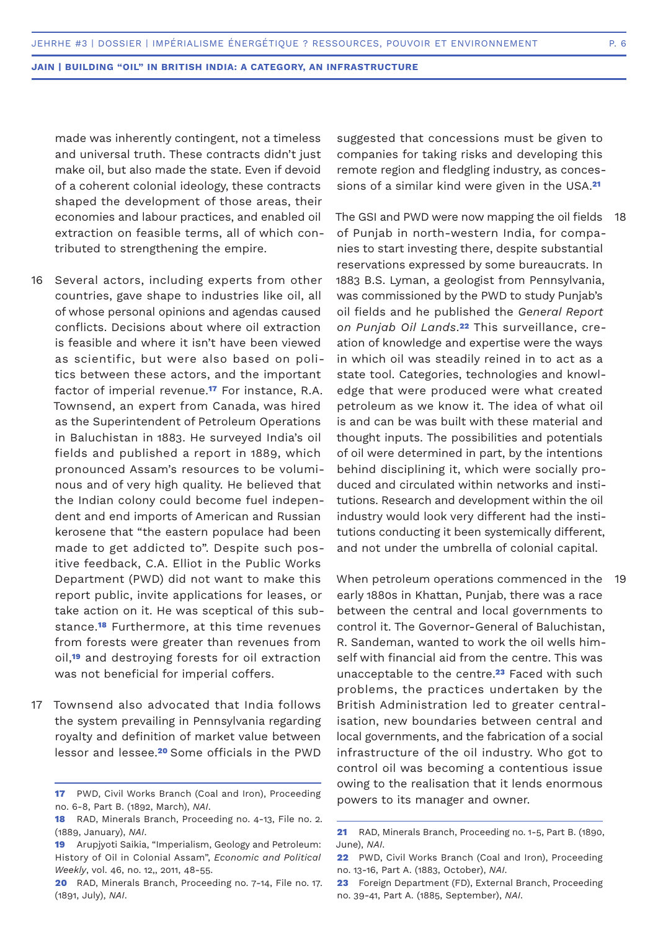made was inherently contingent, not a timeless and universal truth. These contracts didn't just make oil, but also made the state. Even if devoid of a coherent colonial ideology, these contracts shaped the development of those areas, their economies and labour practices, and enabled oil extraction on feasible terms, all of which contributed to strengthening the empire.

- 16 Several actors, including experts from other countries, gave shape to industries like oil, all of whose personal opinions and agendas caused conflicts. Decisions about where oil extraction is feasible and where it isn't have been viewed as scientific, but were also based on politics between these actors, and the important factor of imperial revenue.**17** For instance, R.A. Townsend, an expert from Canada, was hired as the Superintendent of Petroleum Operations in Baluchistan in 1883. He surveyed India's oil fields and published a report in 1889, which pronounced Assam's resources to be voluminous and of very high quality. He believed that the Indian colony could become fuel independent and end imports of American and Russian kerosene that "the eastern populace had been made to get addicted to". Despite such positive feedback, C.A. Elliot in the Public Works Department (PWD) did not want to make this report public, invite applications for leases, or take action on it. He was sceptical of this substance.**18** Furthermore, at this time revenues from forests were greater than revenues from oil,**19** and destroying forests for oil extraction was not beneficial for imperial coffers.
- Townsend also advocated that India follows the system prevailing in Pennsylvania regarding royalty and definition of market value between lessor and lessee.**<sup>20</sup>** Some officials in the PWD 17

suggested that concessions must be given to companies for taking risks and developing this remote region and fledgling industry, as concessions of a similar kind were given in the USA.**<sup>21</sup>**

The GSI and PWD were now mapping the oil fields of Punjab in north-western India, for companies to start investing there, despite substantial reservations expressed by some bureaucrats. In 1883 B.S. Lyman, a geologist from Pennsylvania, was commissioned by the PWD to study Punjab's oil fields and he published the *General Report on Punjab Oil Lands*.**22** This surveillance, creation of knowledge and expertise were the ways in which oil was steadily reined in to act as a state tool. Categories, technologies and knowledge that were produced were what created petroleum as we know it. The idea of what oil is and can be was built with these material and thought inputs. The possibilities and potentials of oil were determined in part, by the intentions behind disciplining it, which were socially produced and circulated within networks and institutions. Research and development within the oil industry would look very different had the institutions conducting it been systemically different, and not under the umbrella of colonial capital. 18

When petroleum operations commenced in the early 1880s in Khattan, Punjab, there was a race between the central and local governments to control it. The Governor-General of Baluchistan, R. Sandeman, wanted to work the oil wells himself with financial aid from the centre. This was unacceptable to the centre.**23** Faced with such problems, the practices undertaken by the British Administration led to greater centralisation, new boundaries between central and local governments, and the fabrication of a social infrastructure of the oil industry. Who got to control oil was becoming a contentious issue owing to the realisation that it lends enormous powers to its manager and owner. 19

**<sup>17</sup>** PWD, Civil Works Branch (Coal and Iron), Proceeding no. 6-8, Part B. (1892, March), *NAI*.

**<sup>18</sup>** RAD, Minerals Branch, Proceeding no. 4-13, File no. 2. (1889, January), *NAI*.

**<sup>19</sup>** Arupjyoti Saikia, "Imperialism, Geology and Petroleum: History of Oil in Colonial Assam", *Economic and Political Weekly*, vol. 46, no. 12,, 2011, 48-55.

**<sup>20</sup>** RAD, Minerals Branch, Proceeding no. 7-14, File no. 17. (1891, July), *NAI*.

**<sup>21</sup>** RAD, Minerals Branch, Proceeding no. 1-5, Part B. (1890, June), *NAI*.

**<sup>22</sup>** PWD, Civil Works Branch (Coal and Iron), Proceeding no. 13-16, Part A. (1883, October), *NAI*.

**<sup>23</sup>** Foreign Department (FD), External Branch, Proceeding no. 39-41, Part A. (1885, September), *NAI*.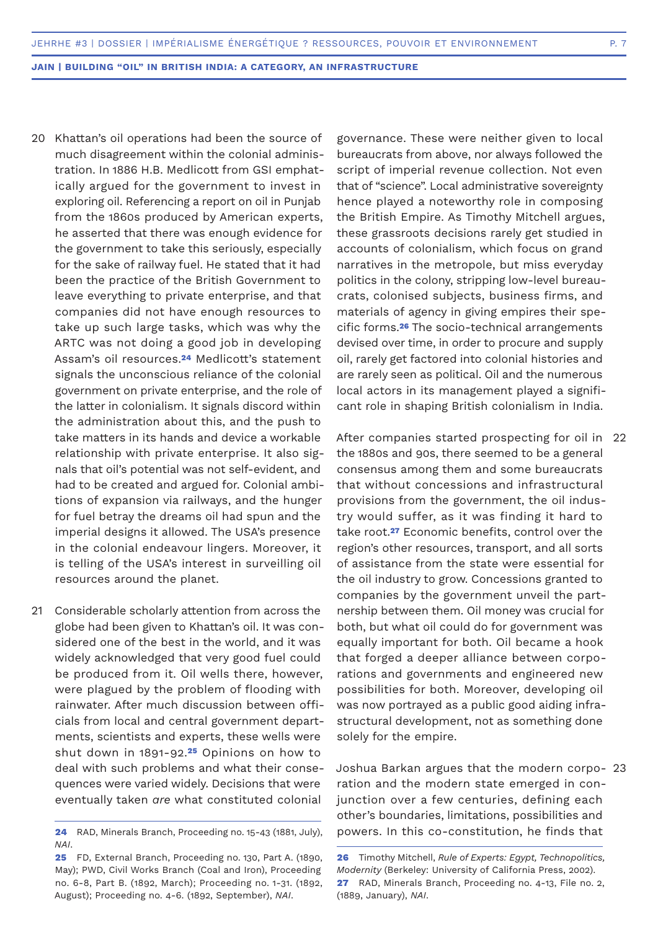- 20 Khattan's oil operations had been the source of much disagreement within the colonial administration. In 1886 H.B. Medlicott from GSI emphatically argued for the government to invest in exploring oil. Referencing a report on oil in Punjab from the 1860s produced by American experts, he asserted that there was enough evidence for the government to take this seriously, especially for the sake of railway fuel. He stated that it had been the practice of the British Government to leave everything to private enterprise, and that companies did not have enough resources to take up such large tasks, which was why the ARTC was not doing a good job in developing Assam's oil resources.**24** Medlicott's statement signals the unconscious reliance of the colonial government on private enterprise, and the role of the latter in colonialism. It signals discord within the administration about this, and the push to take matters in its hands and device a workable relationship with private enterprise. It also signals that oil's potential was not self-evident, and had to be created and argued for. Colonial ambitions of expansion via railways, and the hunger for fuel betray the dreams oil had spun and the imperial designs it allowed. The USA's presence in the colonial endeavour lingers. Moreover, it is telling of the USA's interest in surveilling oil resources around the planet.
- Considerable scholarly attention from across the 21 globe had been given to Khattan's oil. It was considered one of the best in the world, and it was widely acknowledged that very good fuel could be produced from it. Oil wells there, however, were plagued by the problem of flooding with rainwater. After much discussion between officials from local and central government departments, scientists and experts, these wells were shut down in 1891-92.**25** Opinions on how to deal with such problems and what their consequences were varied widely. Decisions that were eventually taken *are* what constituted colonial

governance. These were neither given to local bureaucrats from above, nor always followed the script of imperial revenue collection. Not even that of "science". Local administrative sovereignty hence played a noteworthy role in composing the British Empire. As Timothy Mitchell argues, these grassroots decisions rarely get studied in accounts of colonialism, which focus on grand narratives in the metropole, but miss everyday politics in the colony, stripping low-level bureaucrats, colonised subjects, business firms, and materials of agency in giving empires their specific forms.**26** The socio-technical arrangements devised over time, in order to procure and supply oil, rarely get factored into colonial histories and are rarely seen as political. Oil and the numerous local actors in its management played a significant role in shaping British colonialism in India.

After companies started prospecting for oil in 22 the 1880s and 90s, there seemed to be a general consensus among them and some bureaucrats that without concessions and infrastructural provisions from the government, the oil industry would suffer, as it was finding it hard to take root.**27** Economic benefits, control over the region's other resources, transport, and all sorts of assistance from the state were essential for the oil industry to grow. Concessions granted to companies by the government unveil the partnership between them. Oil money was crucial for both, but what oil could do for government was equally important for both. Oil became a hook that forged a deeper alliance between corporations and governments and engineered new possibilities for both. Moreover, developing oil was now portrayed as a public good aiding infrastructural development, not as something done solely for the empire.

Joshua Barkan argues that the modern corpo-23 ration and the modern state emerged in conjunction over a few centuries, defining each other's boundaries, limitations, possibilities and powers. In this co-constitution, he finds that

**<sup>24</sup>** RAD, Minerals Branch, Proceeding no. 15-43 (1881, July), *NAI*.

**<sup>25</sup>** FD, External Branch, Proceeding no. 130, Part A. (1890, May); PWD, Civil Works Branch (Coal and Iron), Proceeding no. 6-8, Part B. (1892, March); Proceeding no. 1-31. (1892, August); Proceeding no. 4-6. (1892, September), *NAI*.

**<sup>26</sup>** Timothy Mitchell, *Rule of Experts: Egypt, Technopolitics, Modernity* (Berkeley: University of California Press, 2002). **27** RAD, Minerals Branch, Proceeding no. 4-13, File no. 2, (1889, January), *NAI*.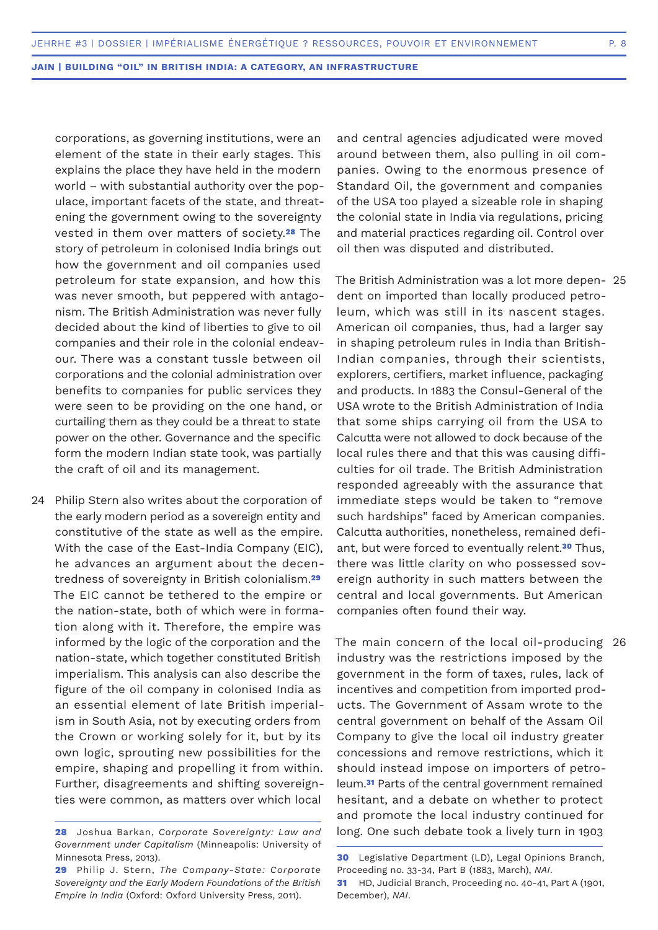corporations, as governing institutions, were an element of the state in their early stages. This explains the place they have held in the modern world – with substantial authority over the populace, important facets of the state, and threatening the government owing to the sovereignty vested in them over matters of society.**28** The story of petroleum in colonised India brings out how the government and oil companies used petroleum for state expansion, and how this was never smooth, but peppered with antagonism. The British Administration was never fully decided about the kind of liberties to give to oil companies and their role in the colonial endeavour. There was a constant tussle between oil corporations and the colonial administration over benefits to companies for public services they were seen to be providing on the one hand, or curtailing them as they could be a threat to state power on the other. Governance and the specific form the modern Indian state took, was partially the craft of oil and its management.

24 Philip Stern also writes about the corporation of the early modern period as a sovereign entity and constitutive of the state as well as the empire. With the case of the East-India Company (EIC), he advances an argument about the decentredness of sovereignty in British colonialism.**<sup>29</sup>** The EIC cannot be tethered to the empire or the nation-state, both of which were in formation along with it. Therefore, the empire was informed by the logic of the corporation and the nation-state, which together constituted British imperialism. This analysis can also describe the figure of the oil company in colonised India as an essential element of late British imperialism in South Asia, not by executing orders from the Crown or working solely for it, but by its own logic, sprouting new possibilities for the empire, shaping and propelling it from within. Further, disagreements and shifting sovereignties were common, as matters over which local

and central agencies adjudicated were moved around between them, also pulling in oil companies. Owing to the enormous presence of Standard Oil, the government and companies of the USA too played a sizeable role in shaping the colonial state in India via regulations, pricing and material practices regarding oil. Control over oil then was disputed and distributed.

The British Administration was a lot more depen-25 dent on imported than locally produced petroleum, which was still in its nascent stages. American oil companies, thus, had a larger say in shaping petroleum rules in India than British-Indian companies, through their scientists, explorers, certifiers, market influence, packaging and products. In 1883 the Consul-General of the USA wrote to the British Administration of India that some ships carrying oil from the USA to Calcutta were not allowed to dock because of the local rules there and that this was causing difficulties for oil trade. The British Administration responded agreeably with the assurance that immediate steps would be taken to "remove such hardships" faced by American companies. Calcutta authorities, nonetheless, remained defiant, but were forced to eventually relent.**30** Thus, there was little clarity on who possessed sovereign authority in such matters between the central and local governments. But American companies often found their way.

The main concern of the local oil-producing 26industry was the restrictions imposed by the government in the form of taxes, rules, lack of incentives and competition from imported products. The Government of Assam wrote to the central government on behalf of the Assam Oil Company to give the local oil industry greater concessions and remove restrictions, which it should instead impose on importers of petroleum.**31** Parts of the central government remained hesitant, and a debate on whether to protect and promote the local industry continued for long. One such debate took a lively turn in 1903

**<sup>28</sup>** Joshua Barkan, *Corporate Sovereignty: Law and Government under Capitalism* (Minneapolis: University of Minnesota Press, 2013).

**<sup>29</sup>** Philip J. Stern, *The Company-State: Corporate Sovereignty and the Early Modern Foundations of the British Empire in India* (Oxford: Oxford University Press, 2011).

**<sup>30</sup>** Legislative Department (LD), Legal Opinions Branch, Proceeding no. 33-34, Part B (1883, March), *NAI*.

**<sup>31</sup>** HD, Judicial Branch, Proceeding no. 40-41, Part A (1901, December), *NAI*.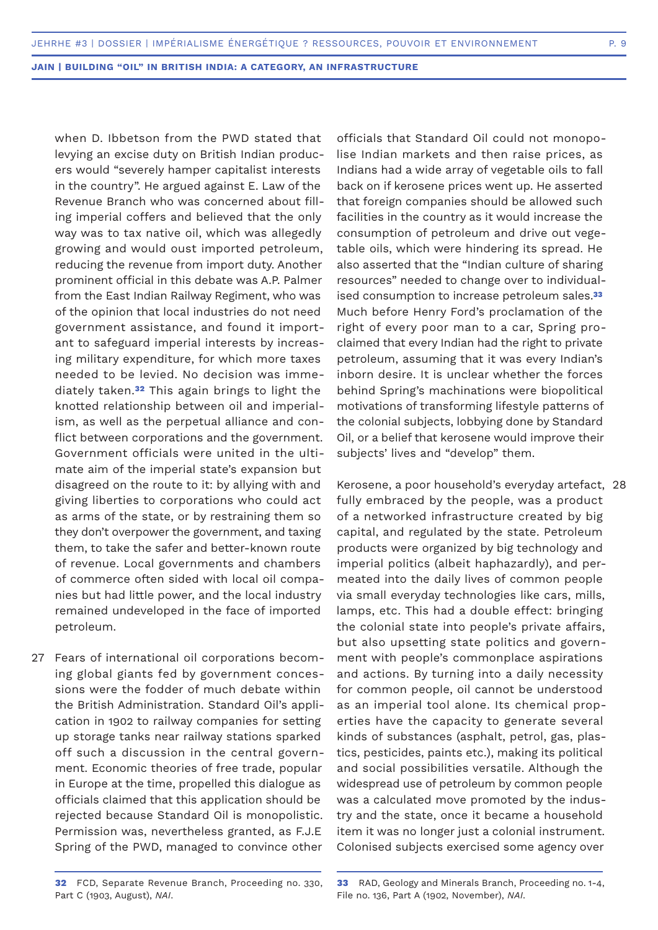when D. Ibbetson from the PWD stated that levying an excise duty on British Indian producers would "severely hamper capitalist interests in the country". He argued against E. Law of the Revenue Branch who was concerned about filling imperial coffers and believed that the only way was to tax native oil, which was allegedly growing and would oust imported petroleum, reducing the revenue from import duty. Another prominent official in this debate was A.P. Palmer from the East Indian Railway Regiment, who was of the opinion that local industries do not need government assistance, and found it important to safeguard imperial interests by increasing military expenditure, for which more taxes needed to be levied. No decision was immediately taken.**32** This again brings to light the knotted relationship between oil and imperialism, as well as the perpetual alliance and conflict between corporations and the government. Government officials were united in the ultimate aim of the imperial state's expansion but disagreed on the route to it: by allying with and giving liberties to corporations who could act as arms of the state, or by restraining them so they don't overpower the government, and taxing them, to take the safer and better-known route of revenue. Local governments and chambers of commerce often sided with local oil companies but had little power, and the local industry remained undeveloped in the face of imported petroleum.

27 Fears of international oil corporations becoming global giants fed by government concessions were the fodder of much debate within the British Administration. Standard Oil's application in 1902 to railway companies for setting up storage tanks near railway stations sparked off such a discussion in the central government. Economic theories of free trade, popular in Europe at the time, propelled this dialogue as officials claimed that this application should be rejected because Standard Oil is monopolistic. Permission was, nevertheless granted, as F.J.E Spring of the PWD, managed to convince other

officials that Standard Oil could not monopolise Indian markets and then raise prices, as Indians had a wide array of vegetable oils to fall back on if kerosene prices went up. He asserted that foreign companies should be allowed such facilities in the country as it would increase the consumption of petroleum and drive out vegetable oils, which were hindering its spread. He also asserted that the "Indian culture of sharing resources" needed to change over to individualised consumption to increase petroleum sales.**<sup>33</sup>** Much before Henry Ford's proclamation of the right of every poor man to a car, Spring proclaimed that every Indian had the right to private petroleum, assuming that it was every Indian's inborn desire. It is unclear whether the forces behind Spring's machinations were biopolitical motivations of transforming lifestyle patterns of the colonial subjects, lobbying done by Standard Oil, or a belief that kerosene would improve their subjects' lives and "develop" them.

Kerosene, a poor household's everyday artefact, 28fully embraced by the people, was a product of a networked infrastructure created by big capital, and regulated by the state. Petroleum products were organized by big technology and imperial politics (albeit haphazardly), and permeated into the daily lives of common people via small everyday technologies like cars, mills, lamps, etc. This had a double effect: bringing the colonial state into people's private affairs, but also upsetting state politics and government with people's commonplace aspirations and actions. By turning into a daily necessity for common people, oil cannot be understood as an imperial tool alone. Its chemical properties have the capacity to generate several kinds of substances (asphalt, petrol, gas, plastics, pesticides, paints etc.), making its political and social possibilities versatile. Although the widespread use of petroleum by common people was a calculated move promoted by the industry and the state, once it became a household item it was no longer just a colonial instrument. Colonised subjects exercised some agency over

**<sup>32</sup>** FCD, Separate Revenue Branch, Proceeding no. 330, Part C (1903, August), *NAI*.

**<sup>33</sup>** RAD, Geology and Minerals Branch, Proceeding no. 1-4, File no. 136, Part A (1902, November), *NAI*.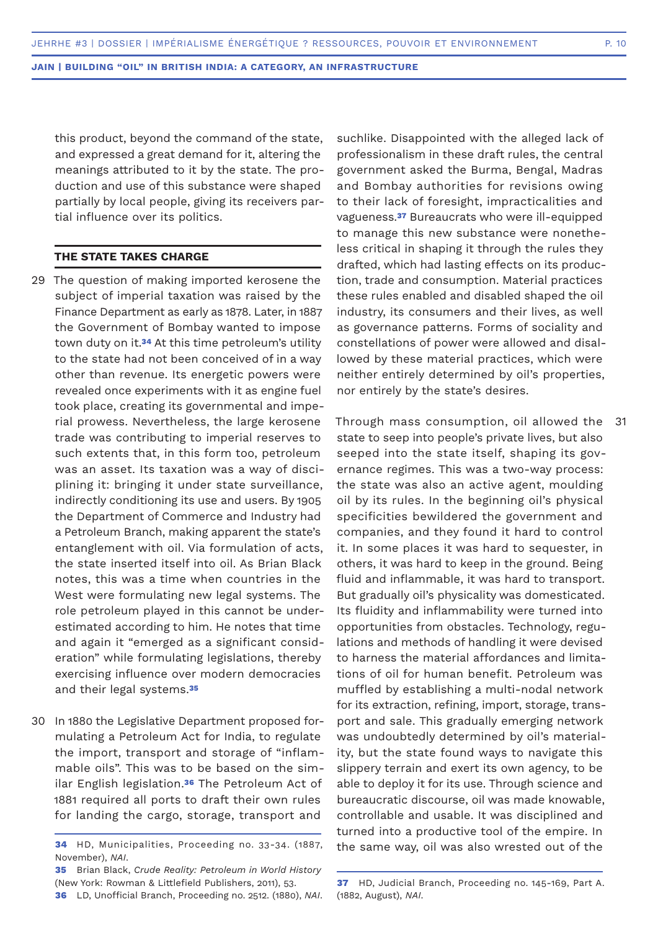this product, beyond the command of the state, and expressed a great demand for it, altering the meanings attributed to it by the state. The production and use of this substance were shaped partially by local people, giving its receivers partial influence over its politics.

## **THE STATE TAKES CHARGE**

- 29 The question of making imported kerosene the subject of imperial taxation was raised by the Finance Department as early as 1878. Later, in 1887 the Government of Bombay wanted to impose town duty on it.**34** At this time petroleum's utility to the state had not been conceived of in a way other than revenue. Its energetic powers were revealed once experiments with it as engine fuel took place, creating its governmental and imperial prowess. Nevertheless, the large kerosene trade was contributing to imperial reserves to such extents that, in this form too, petroleum was an asset. Its taxation was a way of disciplining it: bringing it under state surveillance, indirectly conditioning its use and users. By 1905 the Department of Commerce and Industry had a Petroleum Branch, making apparent the state's entanglement with oil. Via formulation of acts, the state inserted itself into oil. As Brian Black notes, this was a time when countries in the West were formulating new legal systems. The role petroleum played in this cannot be underestimated according to him. He notes that time and again it "emerged as a significant consideration" while formulating legislations, thereby exercising influence over modern democracies and their legal systems.**<sup>35</sup>**
- 30 In 1880 the Legislative Department proposed formulating a Petroleum Act for India, to regulate the import, transport and storage of "inflammable oils". This was to be based on the similar English legislation.**36** The Petroleum Act of 1881 required all ports to draft their own rules for landing the cargo, storage, transport and

suchlike. Disappointed with the alleged lack of professionalism in these draft rules, the central government asked the Burma, Bengal, Madras and Bombay authorities for revisions owing to their lack of foresight, impracticalities and vagueness.**37** Bureaucrats who were ill-equipped to manage this new substance were nonetheless critical in shaping it through the rules they drafted, which had lasting effects on its production, trade and consumption. Material practices these rules enabled and disabled shaped the oil industry, its consumers and their lives, as well as governance patterns. Forms of sociality and constellations of power were allowed and disallowed by these material practices, which were neither entirely determined by oil's properties, nor entirely by the state's desires.

Through mass consumption, oil allowed the state to seep into people's private lives, but also seeped into the state itself, shaping its governance regimes. This was a two-way process: the state was also an active agent, moulding oil by its rules. In the beginning oil's physical specificities bewildered the government and companies, and they found it hard to control it. In some places it was hard to sequester, in others, it was hard to keep in the ground. Being fluid and inflammable, it was hard to transport. But gradually oil's physicality was domesticated. Its fluidity and inflammability were turned into opportunities from obstacles. Technology, regulations and methods of handling it were devised to harness the material affordances and limitations of oil for human benefit. Petroleum was muffled by establishing a multi-nodal network for its extraction, refining, import, storage, transport and sale. This gradually emerging network was undoubtedly determined by oil's materiality, but the state found ways to navigate this slippery terrain and exert its own agency, to be able to deploy it for its use. Through science and bureaucratic discourse, oil was made knowable, controllable and usable. It was disciplined and turned into a productive tool of the empire. In the same way, oil was also wrested out of the 31

**<sup>34</sup>** HD, Municipalities, Proceeding no. 33-34. (1887, November), *NAI*.

**<sup>35</sup>** Brian Black, *Crude Reality: Petroleum in World History*  (New York: Rowman & Littlefield Publishers, 2011), 53.

**<sup>36</sup>** LD, Unofficial Branch, Proceeding no. 2512. (1880), *NAI*.

**<sup>37</sup>** HD, Judicial Branch, Proceeding no. 145-169, Part A. (1882, August), *NAI*.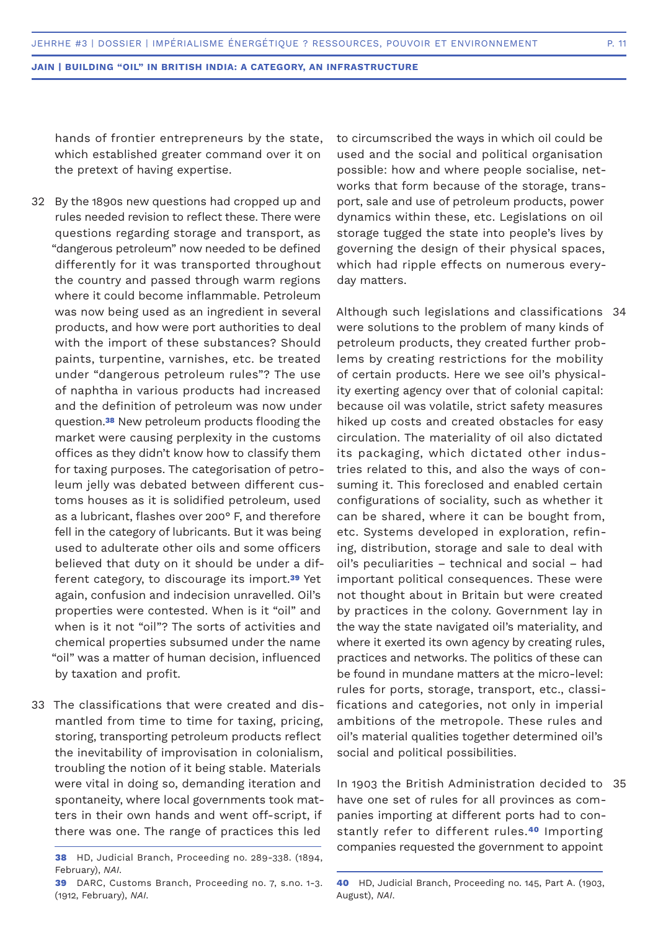hands of frontier entrepreneurs by the state, which established greater command over it on the pretext of having expertise.

- 32 By the 1890s new questions had cropped up and rules needed revision to reflect these. There were questions regarding storage and transport, as "dangerous petroleum" now needed to be defined differently for it was transported throughout the country and passed through warm regions where it could become inflammable. Petroleum was now being used as an ingredient in several products, and how were port authorities to deal with the import of these substances? Should paints, turpentine, varnishes, etc. be treated under "dangerous petroleum rules"? The use of naphtha in various products had increased and the definition of petroleum was now under question.**38** New petroleum products flooding the market were causing perplexity in the customs offices as they didn't know how to classify them for taxing purposes. The categorisation of petroleum jelly was debated between different customs houses as it is solidified petroleum, used as a lubricant, flashes over 200° F, and therefore fell in the category of lubricants. But it was being used to adulterate other oils and some officers believed that duty on it should be under a different category, to discourage its import.**39** Yet again, confusion and indecision unravelled. Oil's properties were contested. When is it "oil" and when is it not "oil"? The sorts of activities and chemical properties subsumed under the name "oil" was a matter of human decision, influenced by taxation and profit.
- 33 The classifications that were created and dismantled from time to time for taxing, pricing, storing, transporting petroleum products reflect the inevitability of improvisation in colonialism, troubling the notion of it being stable. Materials were vital in doing so, demanding iteration and spontaneity, where local governments took matters in their own hands and went off-script, if there was one. The range of practices this led

to circumscribed the ways in which oil could be used and the social and political organisation possible: how and where people socialise, networks that form because of the storage, transport, sale and use of petroleum products, power dynamics within these, etc. Legislations on oil storage tugged the state into people's lives by governing the design of their physical spaces, which had ripple effects on numerous everyday matters.

Although such legislations and classifications 34 were solutions to the problem of many kinds of petroleum products, they created further problems by creating restrictions for the mobility of certain products. Here we see oil's physicality exerting agency over that of colonial capital: because oil was volatile, strict safety measures hiked up costs and created obstacles for easy circulation. The materiality of oil also dictated its packaging, which dictated other industries related to this, and also the ways of consuming it. This foreclosed and enabled certain configurations of sociality, such as whether it can be shared, where it can be bought from, etc. Systems developed in exploration, refining, distribution, storage and sale to deal with oil's peculiarities – technical and social – had important political consequences. These were not thought about in Britain but were created by practices in the colony. Government lay in the way the state navigated oil's materiality, and where it exerted its own agency by creating rules, practices and networks. The politics of these can be found in mundane matters at the micro-level: rules for ports, storage, transport, etc., classifications and categories, not only in imperial ambitions of the metropole. These rules and oil's material qualities together determined oil's social and political possibilities.

In 1903 the British Administration decided to 35have one set of rules for all provinces as companies importing at different ports had to constantly refer to different rules.**40** Importing companies requested the government to appoint

**<sup>38</sup>** HD, Judicial Branch, Proceeding no. 289-338. (1894, February), *NAI*.

**<sup>39</sup>** DARC, Customs Branch, Proceeding no. 7, s.no. 1-3. (1912, February), *NAI*.

**<sup>40</sup>** HD, Judicial Branch, Proceeding no. 145, Part A. (1903, August), *NAI*.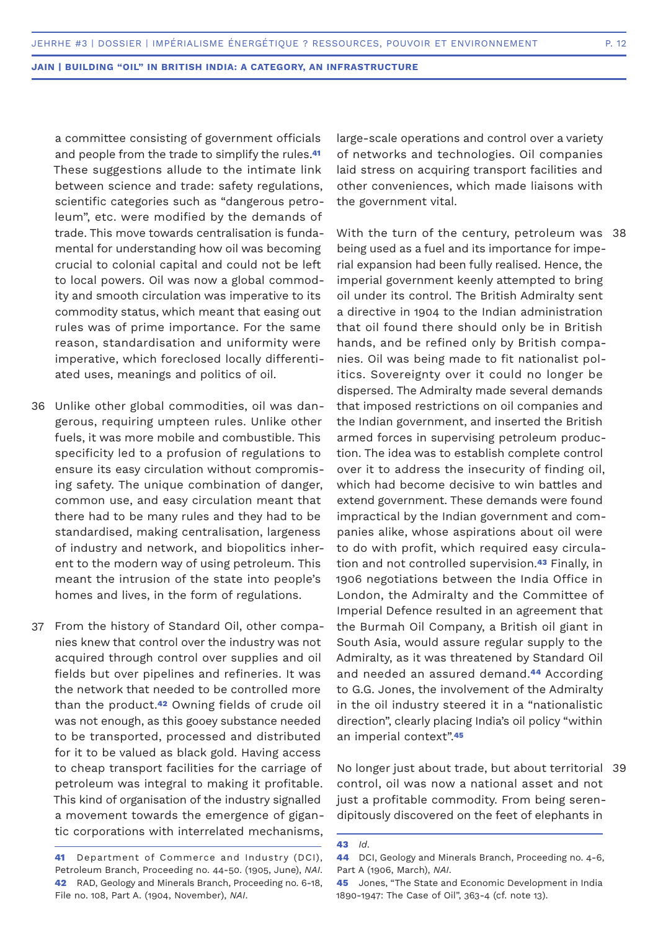a committee consisting of government officials and people from the trade to simplify the rules.**<sup>41</sup>** These suggestions allude to the intimate link between science and trade: safety regulations, scientific categories such as "dangerous petroleum", etc. were modified by the demands of trade. This move towards centralisation is fundamental for understanding how oil was becoming crucial to colonial capital and could not be left to local powers. Oil was now a global commodity and smooth circulation was imperative to its commodity status, which meant that easing out rules was of prime importance. For the same reason, standardisation and uniformity were imperative, which foreclosed locally differentiated uses, meanings and politics of oil.

- Unlike other global commodities, oil was dan-36 gerous, requiring umpteen rules. Unlike other fuels, it was more mobile and combustible. This specificity led to a profusion of regulations to ensure its easy circulation without compromising safety. The unique combination of danger, common use, and easy circulation meant that there had to be many rules and they had to be standardised, making centralisation, largeness of industry and network, and biopolitics inherent to the modern way of using petroleum. This meant the intrusion of the state into people's homes and lives, in the form of regulations.
- 37 From the history of Standard Oil, other companies knew that control over the industry was not acquired through control over supplies and oil fields but over pipelines and refineries. It was the network that needed to be controlled more than the product.**42** Owning fields of crude oil was not enough, as this gooey substance needed to be transported, processed and distributed for it to be valued as black gold. Having access to cheap transport facilities for the carriage of petroleum was integral to making it profitable. This kind of organisation of the industry signalled a movement towards the emergence of gigantic corporations with interrelated mechanisms,

large-scale operations and control over a variety of networks and technologies. Oil companies laid stress on acquiring transport facilities and other conveniences, which made liaisons with the government vital.

With the turn of the century, petroleum was 38 being used as a fuel and its importance for imperial expansion had been fully realised. Hence, the imperial government keenly attempted to bring oil under its control. The British Admiralty sent a directive in 1904 to the Indian administration that oil found there should only be in British hands, and be refined only by British companies. Oil was being made to fit nationalist politics. Sovereignty over it could no longer be dispersed. The Admiralty made several demands that imposed restrictions on oil companies and the Indian government, and inserted the British armed forces in supervising petroleum production. The idea was to establish complete control over it to address the insecurity of finding oil, which had become decisive to win battles and extend government. These demands were found impractical by the Indian government and companies alike, whose aspirations about oil were to do with profit, which required easy circulation and not controlled supervision.**43** Finally, in 1906 negotiations between the India Office in London, the Admiralty and the Committee of Imperial Defence resulted in an agreement that the Burmah Oil Company, a British oil giant in South Asia, would assure regular supply to the Admiralty, as it was threatened by Standard Oil and needed an assured demand.**44** According to G.G. Jones, the involvement of the Admiralty in the oil industry steered it in a "nationalistic direction", clearly placing India's oil policy "within an imperial context".**<sup>45</sup>**

No longer just about trade, but about territorial 39control, oil was now a national asset and not just a profitable commodity. From being serendipitously discovered on the feet of elephants in

**<sup>41</sup>** Department of Commerce and Industry (DCI), Petroleum Branch, Proceeding no. 44-50. (1905, June), *NAI*. **42** RAD, Geology and Minerals Branch, Proceeding no. 6-18, File no. 108, Part A. (1904, November), *NAI*.

**<sup>43</sup>** *Id*.

**<sup>44</sup>** DCI, Geology and Minerals Branch, Proceeding no. 4-6, Part A (1906, March), *NAI*.

**<sup>45</sup>** Jones, "The State and Economic Development in India 1890-1947: The Case of Oil", 363-4 (cf. note 13).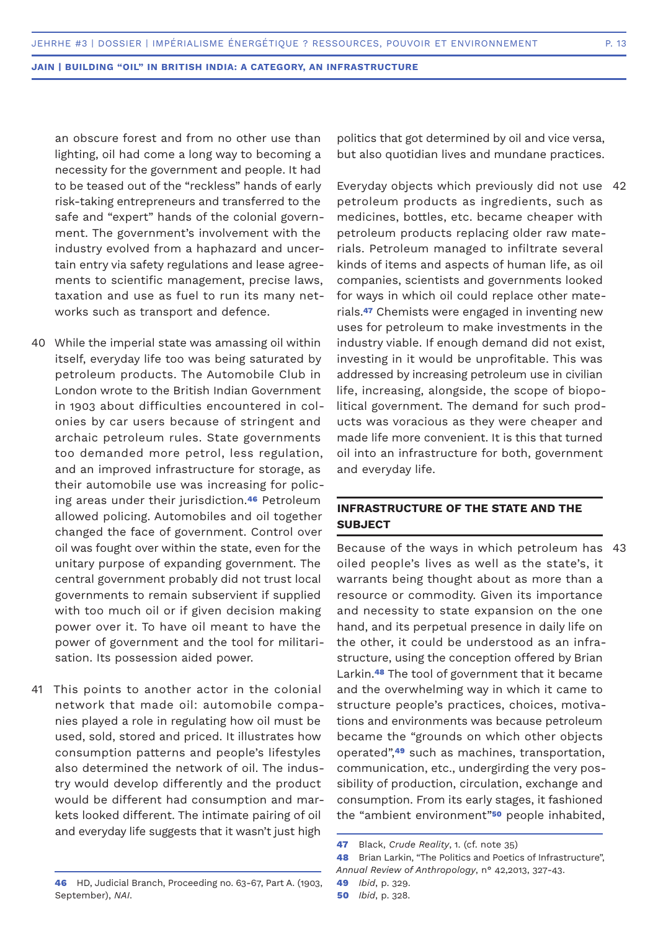an obscure forest and from no other use than lighting, oil had come a long way to becoming a necessity for the government and people. It had to be teased out of the "reckless" hands of early risk-taking entrepreneurs and transferred to the safe and "expert" hands of the colonial government. The government's involvement with the industry evolved from a haphazard and uncertain entry via safety regulations and lease agreements to scientific management, precise laws, taxation and use as fuel to run its many networks such as transport and defence.

- While the imperial state was amassing oil within 40 itself, everyday life too was being saturated by petroleum products. The Automobile Club in London wrote to the British Indian Government in 1903 about difficulties encountered in colonies by car users because of stringent and archaic petroleum rules. State governments too demanded more petrol, less regulation, and an improved infrastructure for storage, as their automobile use was increasing for policing areas under their jurisdiction.**46** Petroleum allowed policing. Automobiles and oil together changed the face of government. Control over oil was fought over within the state, even for the unitary purpose of expanding government. The central government probably did not trust local governments to remain subservient if supplied with too much oil or if given decision making power over it. To have oil meant to have the power of government and the tool for militarisation. Its possession aided power.
- 41 This points to another actor in the colonial network that made oil: automobile companies played a role in regulating how oil must be used, sold, stored and priced. It illustrates how consumption patterns and people's lifestyles also determined the network of oil. The industry would develop differently and the product would be different had consumption and markets looked different. The intimate pairing of oil and everyday life suggests that it wasn't just high

September), *NAI*.

politics that got determined by oil and vice versa, but also quotidian lives and mundane practices.

Everyday objects which previously did not use 42 petroleum products as ingredients, such as medicines, bottles, etc. became cheaper with petroleum products replacing older raw materials. Petroleum managed to infiltrate several kinds of items and aspects of human life, as oil companies, scientists and governments looked for ways in which oil could replace other materials.**47** Chemists were engaged in inventing new uses for petroleum to make investments in the industry viable. If enough demand did not exist, investing in it would be unprofitable. This was addressed by increasing petroleum use in civilian life, increasing, alongside, the scope of biopolitical government. The demand for such products was voracious as they were cheaper and made life more convenient. It is this that turned oil into an infrastructure for both, government and everyday life.

# **INFRASTRUCTURE OF THE STATE AND THE SUBJECT**

Because of the ways in which petroleum has 43oiled people's lives as well as the state's, it warrants being thought about as more than a resource or commodity. Given its importance and necessity to state expansion on the one hand, and its perpetual presence in daily life on the other, it could be understood as an infrastructure, using the conception offered by Brian Larkin.**48** The tool of government that it became and the overwhelming way in which it came to structure people's practices, choices, motivations and environments was because petroleum became the "grounds on which other objects operated",**49** such as machines, transportation, communication, etc., undergirding the very possibility of production, circulation, exchange and consumption. From its early stages, it fashioned the "ambient environment"**50** people inhabited,

**<sup>47</sup>** Black, *Crude Reality*, 1. (cf. note 35)

**<sup>48</sup>** Brian Larkin, "The Politics and Poetics of Infrastructure", *Annual Review of Anthropology*, n° 42,2013, 327-43.

**<sup>46</sup>** HD, Judicial Branch, Proceeding no. 63-67, Part A. (1903, **49** *Ibid*, p. 329.

**<sup>50</sup>** *Ibid*, p. 328.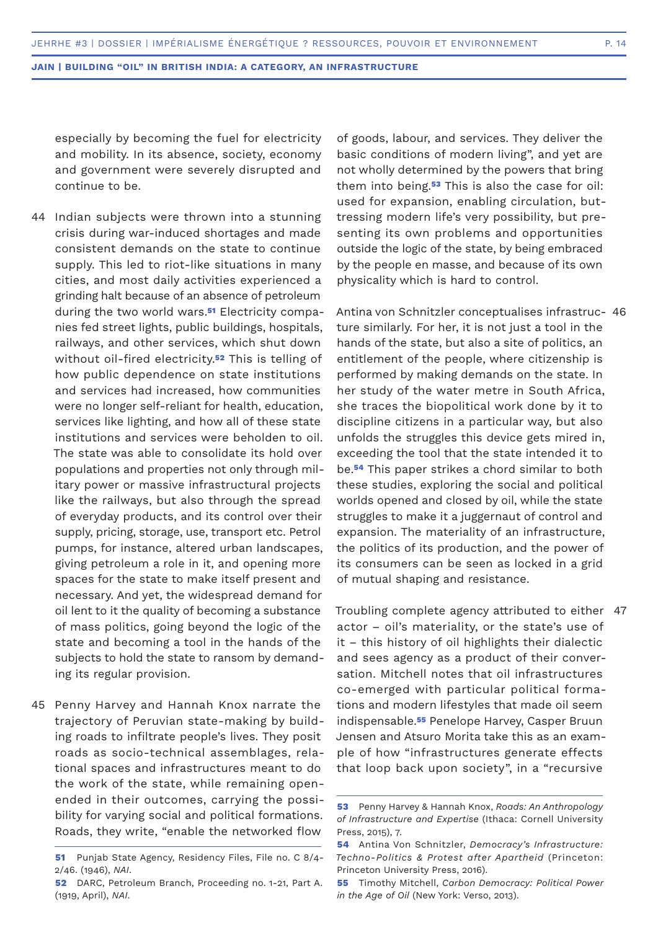especially by becoming the fuel for electricity and mobility. In its absence, society, economy and government were severely disrupted and continue to be.

- 44 Indian subjects were thrown into a stunning crisis during war-induced shortages and made consistent demands on the state to continue supply. This led to riot-like situations in many cities, and most daily activities experienced a grinding halt because of an absence of petroleum during the two world wars.**51** Electricity companies fed street lights, public buildings, hospitals, railways, and other services, which shut down without oil-fired electricity.**52** This is telling of how public dependence on state institutions and services had increased, how communities were no longer self-reliant for health, education, services like lighting, and how all of these state institutions and services were beholden to oil. The state was able to consolidate its hold over populations and properties not only through military power or massive infrastructural projects like the railways, but also through the spread of everyday products, and its control over their supply, pricing, storage, use, transport etc. Petrol pumps, for instance, altered urban landscapes, giving petroleum a role in it, and opening more spaces for the state to make itself present and necessary. And yet, the widespread demand for oil lent to it the quality of becoming a substance of mass politics, going beyond the logic of the state and becoming a tool in the hands of the subjects to hold the state to ransom by demanding its regular provision.
- 45 Penny Harvey and Hannah Knox narrate the trajectory of Peruvian state-making by building roads to infiltrate people's lives. They posit roads as socio-technical assemblages, relational spaces and infrastructures meant to do the work of the state, while remaining openended in their outcomes, carrying the possibility for varying social and political formations. Roads, they write, "enable the networked flow

of goods, labour, and services. They deliver the basic conditions of modern living", and yet are not wholly determined by the powers that bring them into being.**53** This is also the case for oil: used for expansion, enabling circulation, buttressing modern life's very possibility, but presenting its own problems and opportunities outside the logic of the state, by being embraced by the people en masse, and because of its own physicality which is hard to control.

Antina von Schnitzler conceptualises infrastruc-46 ture similarly. For her, it is not just a tool in the hands of the state, but also a site of politics, an entitlement of the people, where citizenship is performed by making demands on the state. In her study of the water metre in South Africa, she traces the biopolitical work done by it to discipline citizens in a particular way, but also unfolds the struggles this device gets mired in, exceeding the tool that the state intended it to be.**54** This paper strikes a chord similar to both these studies, exploring the social and political worlds opened and closed by oil, while the state struggles to make it a juggernaut of control and expansion. The materiality of an infrastructure, the politics of its production, and the power of its consumers can be seen as locked in a grid of mutual shaping and resistance.

Troubling complete agency attributed to either 47actor – oil's materiality, or the state's use of it – this history of oil highlights their dialectic and sees agency as a product of their conversation. Mitchell notes that oil infrastructures co-emerged with particular political formations and modern lifestyles that made oil seem indispensable.**55** Penelope Harvey, Casper Bruun Jensen and Atsuro Morita take this as an example of how "infrastructures generate effects that loop back upon society", in a "recursive

**<sup>51</sup>** Punjab State Agency, Residency Files, File no. C 8/4- 2/46. (1946), *NAI*.

**<sup>52</sup>** DARC, Petroleum Branch, Proceeding no. 1-21, Part A. (1919, April), *NAI*.

**<sup>53</sup>** Penny Harvey & Hannah Knox, *Roads: An Anthropology of Infrastructure and Expertise* (Ithaca: Cornell University Press, 2015), 7.

**<sup>54</sup>** Antina Von Schnitzler, *Democracy's Infrastructure: Techno-Politics & Protest after Apartheid* (Princeton: Princeton University Press, 2016).

**<sup>55</sup>** Timothy Mitchell, *Carbon Democracy: Political Power in the Age of Oil* (New York: Verso, 2013).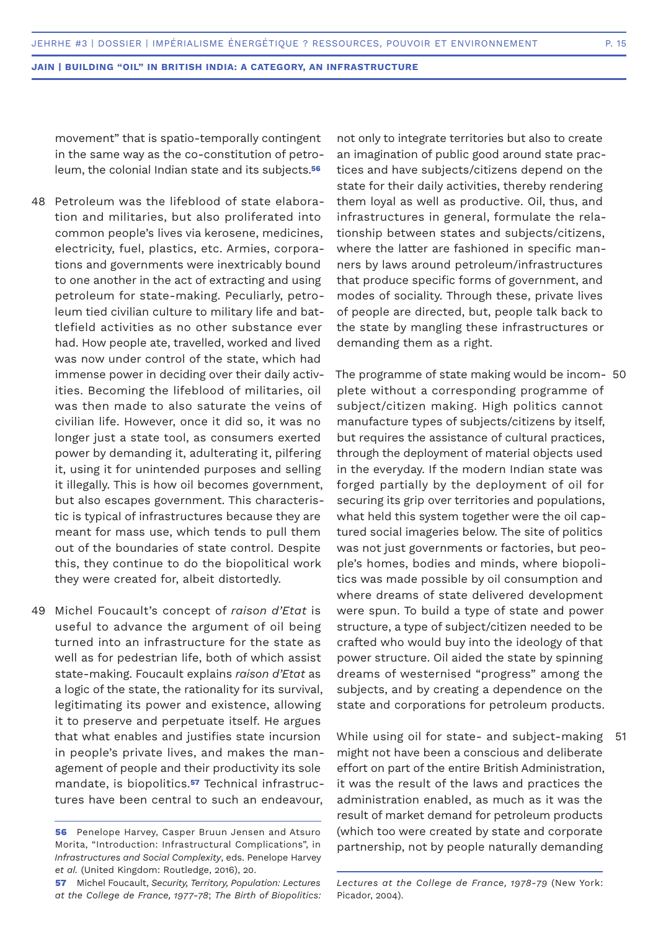movement" that is spatio-temporally contingent in the same way as the co-constitution of petroleum, the colonial Indian state and its subjects.**<sup>56</sup>**

- 48 Petroleum was the lifeblood of state elaboration and militaries, but also proliferated into common people's lives via kerosene, medicines, electricity, fuel, plastics, etc. Armies, corporations and governments were inextricably bound to one another in the act of extracting and using petroleum for state-making. Peculiarly, petroleum tied civilian culture to military life and battlefield activities as no other substance ever had. How people ate, travelled, worked and lived was now under control of the state, which had immense power in deciding over their daily activities. Becoming the lifeblood of militaries, oil was then made to also saturate the veins of civilian life. However, once it did so, it was no longer just a state tool, as consumers exerted power by demanding it, adulterating it, pilfering it, using it for unintended purposes and selling it illegally. This is how oil becomes government, but also escapes government. This characteristic is typical of infrastructures because they are meant for mass use, which tends to pull them out of the boundaries of state control. Despite this, they continue to do the biopolitical work they were created for, albeit distortedly.
- 49 Michel Foucault's concept of *raison d'Etat* is useful to advance the argument of oil being turned into an infrastructure for the state as well as for pedestrian life, both of which assist state-making. Foucault explains *raison d'Etat* as a logic of the state, the rationality for its survival, legitimating its power and existence, allowing it to preserve and perpetuate itself. He argues that what enables and justifies state incursion in people's private lives, and makes the management of people and their productivity its sole mandate, is biopolitics.**57** Technical infrastructures have been central to such an endeavour,

not only to integrate territories but also to create an imagination of public good around state practices and have subjects/citizens depend on the state for their daily activities, thereby rendering them loyal as well as productive. Oil, thus, and infrastructures in general, formulate the relationship between states and subjects/citizens, where the latter are fashioned in specific manners by laws around petroleum/infrastructures that produce specific forms of government, and modes of sociality. Through these, private lives of people are directed, but, people talk back to the state by mangling these infrastructures or demanding them as a right.

The programme of state making would be incom-50 plete without a corresponding programme of subject/citizen making. High politics cannot manufacture types of subjects/citizens by itself, but requires the assistance of cultural practices, through the deployment of material objects used in the everyday. If the modern Indian state was forged partially by the deployment of oil for securing its grip over territories and populations, what held this system together were the oil captured social imageries below. The site of politics was not just governments or factories, but people's homes, bodies and minds, where biopolitics was made possible by oil consumption and where dreams of state delivered development were spun. To build a type of state and power structure, a type of subject/citizen needed to be crafted who would buy into the ideology of that power structure. Oil aided the state by spinning dreams of westernised "progress" among the subjects, and by creating a dependence on the state and corporations for petroleum products.

While using oil for state- and subject-making 51might not have been a conscious and deliberate effort on part of the entire British Administration, it was the result of the laws and practices the administration enabled, as much as it was the result of market demand for petroleum products (which too were created by state and corporate partnership, not by people naturally demanding

**<sup>56</sup>** Penelope Harvey, Casper Bruun Jensen and Atsuro Morita, "Introduction: Infrastructural Complications", in *Infrastructures and Social Complexity*, eds. Penelope Harvey *et al.* (United Kingdom: Routledge, 2016), 20.

**<sup>57</sup>** Michel Foucault, *Security, Territory, Population: Lectures at the College de France, 1977-78*; *The Birth of Biopolitics:* 

*Lectures at the College de France, 1978-79* (New York: Picador, 2004).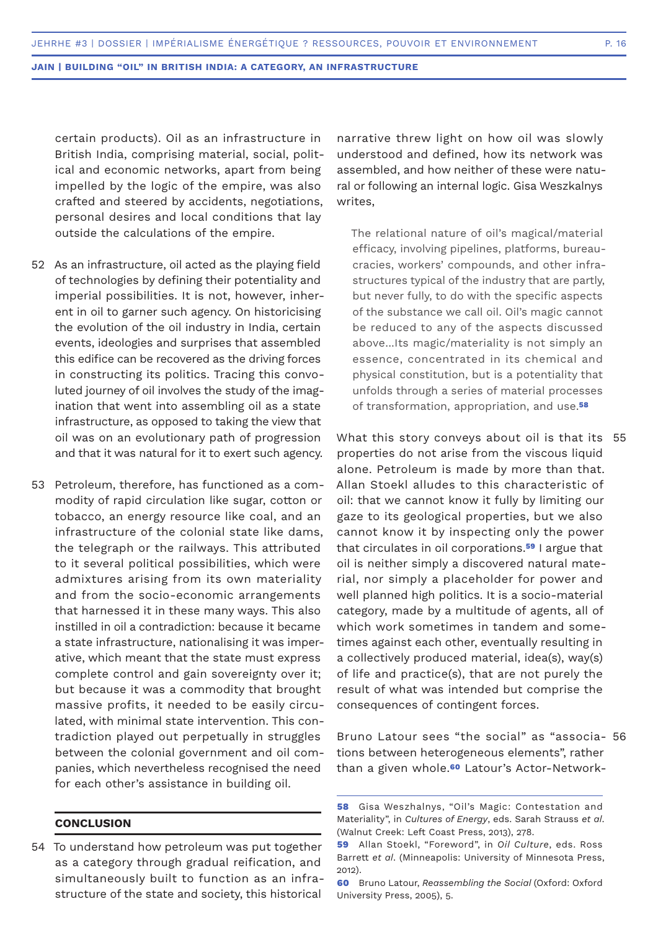certain products). Oil as an infrastructure in British India, comprising material, social, political and economic networks, apart from being impelled by the logic of the empire, was also crafted and steered by accidents, negotiations, personal desires and local conditions that lay outside the calculations of the empire.

- 52 As an infrastructure, oil acted as the playing field of technologies by defining their potentiality and imperial possibilities. It is not, however, inherent in oil to garner such agency. On historicising the evolution of the oil industry in India, certain events, ideologies and surprises that assembled this edifice can be recovered as the driving forces in constructing its politics. Tracing this convoluted journey of oil involves the study of the imagination that went into assembling oil as a state infrastructure, as opposed to taking the view that oil was on an evolutionary path of progression and that it was natural for it to exert such agency.
- 53 Petroleum, therefore, has functioned as a commodity of rapid circulation like sugar, cotton or tobacco, an energy resource like coal, and an infrastructure of the colonial state like dams, the telegraph or the railways. This attributed to it several political possibilities, which were admixtures arising from its own materiality and from the socio-economic arrangements that harnessed it in these many ways. This also instilled in oil a contradiction: because it became a state infrastructure, nationalising it was imperative, which meant that the state must express complete control and gain sovereignty over it; but because it was a commodity that brought massive profits, it needed to be easily circulated, with minimal state intervention. This contradiction played out perpetually in struggles between the colonial government and oil companies, which nevertheless recognised the need for each other's assistance in building oil.

## **CONCLUSION**

54 To understand how petroleum was put together as a category through gradual reification, and simultaneously built to function as an infrastructure of the state and society, this historical

narrative threw light on how oil was slowly understood and defined, how its network was assembled, and how neither of these were natural or following an internal logic. Gisa Weszkalnys writes,

The relational nature of oil's magical/material efficacy, involving pipelines, platforms, bureaucracies, workers' compounds, and other infrastructures typical of the industry that are partly, but never fully, to do with the specific aspects of the substance we call oil. Oil's magic cannot be reduced to any of the aspects discussed above...Its magic/materiality is not simply an essence, concentrated in its chemical and physical constitution, but is a potentiality that unfolds through a series of material processes of transformation, appropriation, and use.**<sup>58</sup>**

What this story conveys about oil is that its 55 properties do not arise from the viscous liquid alone. Petroleum is made by more than that. Allan Stoekl alludes to this characteristic of oil: that we cannot know it fully by limiting our gaze to its geological properties, but we also cannot know it by inspecting only the power that circulates in oil corporations.**59** I argue that oil is neither simply a discovered natural material, nor simply a placeholder for power and well planned high politics. It is a socio-material category, made by a multitude of agents, all of which work sometimes in tandem and sometimes against each other, eventually resulting in a collectively produced material, idea(s), way(s) of life and practice(s), that are not purely the result of what was intended but comprise the consequences of contingent forces.

Bruno Latour sees "the social" as "associa-56tions between heterogeneous elements", rather than a given whole.**60** Latour's Actor-Network-

**60** Bruno Latour, *Reassembling the Social* (Oxford: Oxford University Press, 2005), 5.

**<sup>58</sup>** Gisa Weszhalnys, "Oil's Magic: Contestation and Materiality", in *Cultures of Energy*, eds. Sarah Strauss *et al*. (Walnut Creek: Left Coast Press, 2013), 278.

**<sup>59</sup>** Allan Stoekl, "Foreword", in *Oil Culture*, eds. Ross Barrett *et al*. (Minneapolis: University of Minnesota Press, 2012).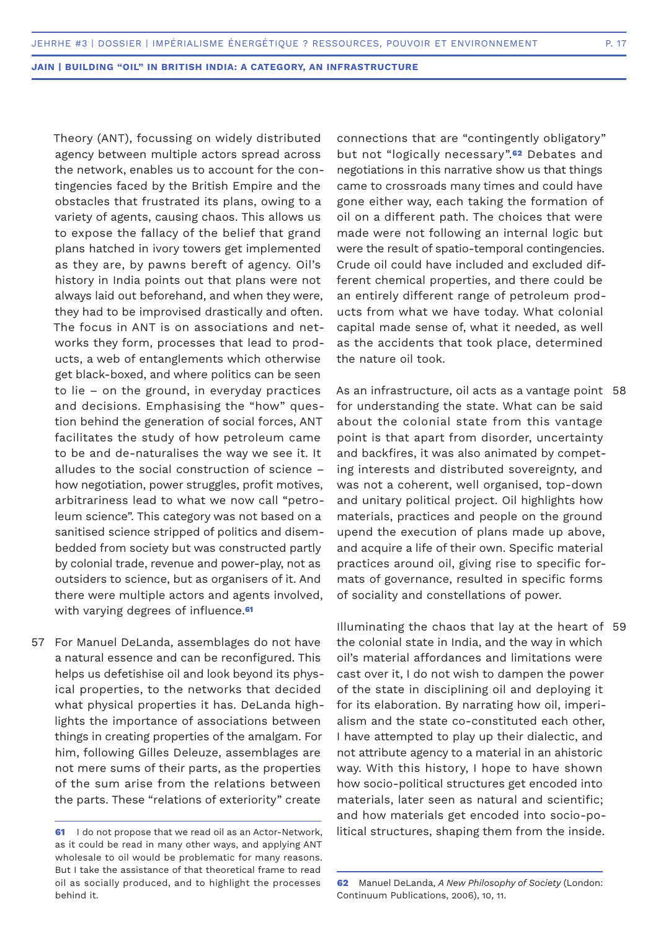Theory (ANT), focussing on widely distributed agency between multiple actors spread across the network, enables us to account for the contingencies faced by the British Empire and the obstacles that frustrated its plans, owing to a variety of agents, causing chaos. This allows us to expose the fallacy of the belief that grand plans hatched in ivory towers get implemented as they are, by pawns bereft of agency. Oil's history in India points out that plans were not always laid out beforehand, and when they were, they had to be improvised drastically and often. The focus in ANT is on associations and networks they form, processes that lead to products, a web of entanglements which otherwise get black-boxed, and where politics can be seen to lie – on the ground, in everyday practices and decisions. Emphasising the "how" question behind the generation of social forces, ANT facilitates the study of how petroleum came to be and de-naturalises the way we see it. It alludes to the social construction of science – how negotiation, power struggles, profit motives, arbitrariness lead to what we now call "petroleum science". This category was not based on a sanitised science stripped of politics and disembedded from society but was constructed partly by colonial trade, revenue and power-play, not as outsiders to science, but as organisers of it. And there were multiple actors and agents involved, with varying degrees of influence.**<sup>61</sup>**

57 For Manuel DeLanda, assemblages do not have a natural essence and can be reconfigured. This helps us defetishise oil and look beyond its physical properties, to the networks that decided what physical properties it has. DeLanda highlights the importance of associations between things in creating properties of the amalgam. For him, following Gilles Deleuze, assemblages are not mere sums of their parts, as the properties of the sum arise from the relations between the parts. These "relations of exteriority" create

connections that are "contingently obligatory" but not "logically necessary".**62** Debates and negotiations in this narrative show us that things came to crossroads many times and could have gone either way, each taking the formation of oil on a different path. The choices that were made were not following an internal logic but were the result of spatio-temporal contingencies. Crude oil could have included and excluded different chemical properties, and there could be an entirely different range of petroleum products from what we have today. What colonial capital made sense of, what it needed, as well as the accidents that took place, determined the nature oil took.

As an infrastructure, oil acts as a vantage point 58 for understanding the state. What can be said about the colonial state from this vantage point is that apart from disorder, uncertainty and backfires, it was also animated by competing interests and distributed sovereignty, and was not a coherent, well organised, top-down and unitary political project. Oil highlights how materials, practices and people on the ground upend the execution of plans made up above, and acquire a life of their own. Specific material practices around oil, giving rise to specific formats of governance, resulted in specific forms of sociality and constellations of power.

Illuminating the chaos that lay at the heart of 59the colonial state in India, and the way in which oil's material affordances and limitations were cast over it, I do not wish to dampen the power of the state in disciplining oil and deploying it for its elaboration. By narrating how oil, imperialism and the state co-constituted each other, I have attempted to play up their dialectic, and not attribute agency to a material in an ahistoric way. With this history, I hope to have shown how socio-political structures get encoded into materials, later seen as natural and scientific; and how materials get encoded into socio-political structures, shaping them from the inside.

**<sup>61</sup>** I do not propose that we read oil as an Actor-Network, as it could be read in many other ways, and applying ANT wholesale to oil would be problematic for many reasons. But I take the assistance of that theoretical frame to read oil as socially produced, and to highlight the processes behind it.

**<sup>62</sup>** Manuel DeLanda, *A New Philosophy of Society* (London: Continuum Publications, 2006), 10, 11.